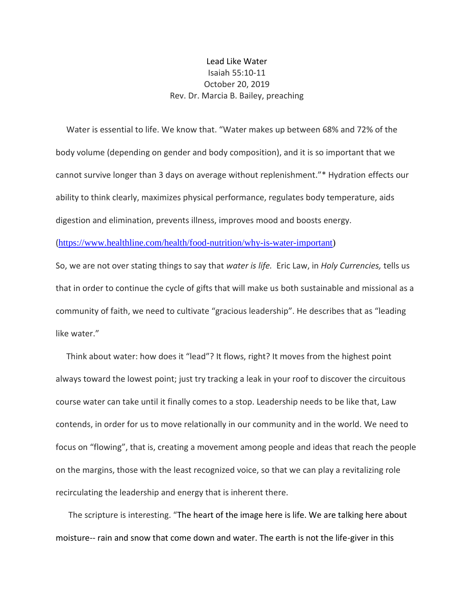## Lead Like Water Isaiah 55:10-11 October 20, 2019 Rev. Dr. Marcia B. Bailey, preaching

 Water is essential to life. We know that. "Water makes up between 68% and 72% of the body volume (depending on gender and body composition), and it is so important that we cannot survive longer than 3 days on average without replenishment."\* Hydration effects our ability to think clearly, maximizes physical performance, regulates body temperature, aids digestion and elimination, prevents illness, improves mood and boosts energy.

([https://www.healthline.com/health/food-nutrition/why-is-water-important\)](https://www.healthline.com/health/food-nutrition/why-is-water-important)

So, we are not over stating things to say that *water is life.* Eric Law, in *Holy Currencies,* tells us that in order to continue the cycle of gifts that will make us both sustainable and missional as a community of faith, we need to cultivate "gracious leadership". He describes that as "leading like water."

 Think about water: how does it "lead"? It flows, right? It moves from the highest point always toward the lowest point; just try tracking a leak in your roof to discover the circuitous course water can take until it finally comes to a stop. Leadership needs to be like that, Law contends, in order for us to move relationally in our community and in the world. We need to focus on "flowing", that is, creating a movement among people and ideas that reach the people on the margins, those with the least recognized voice, so that we can play a revitalizing role recirculating the leadership and energy that is inherent there.

 The scripture is interesting. "The heart of the image here is life. We are talking here about moisture-- rain and snow that come down and water. The earth is not the life-giver in this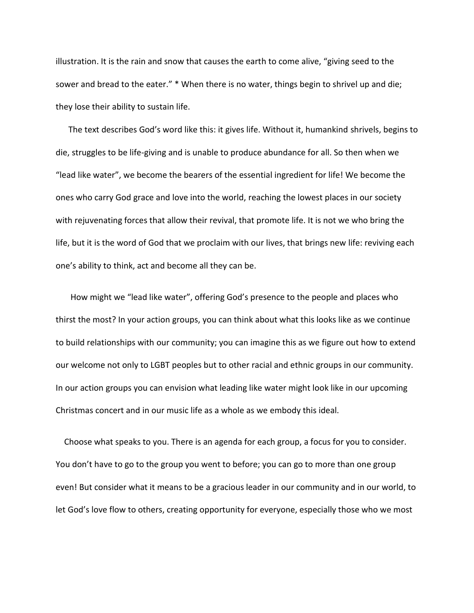illustration. It is the rain and snow that causes the earth to come alive, "giving seed to the sower and bread to the eater." \* When there is no water, things begin to shrivel up and die; they lose their ability to sustain life.

 The text describes God's word like this: it gives life. Without it, humankind shrivels, begins to die, struggles to be life-giving and is unable to produce abundance for all. So then when we "lead like water", we become the bearers of the essential ingredient for life! We become the ones who carry God grace and love into the world, reaching the lowest places in our society with rejuvenating forces that allow their revival, that promote life. It is not we who bring the life, but it is the word of God that we proclaim with our lives, that brings new life: reviving each one's ability to think, act and become all they can be.

 How might we "lead like water", offering God's presence to the people and places who thirst the most? In your action groups, you can think about what this looks like as we continue to build relationships with our community; you can imagine this as we figure out how to extend our welcome not only to LGBT peoples but to other racial and ethnic groups in our community. In our action groups you can envision what leading like water might look like in our upcoming Christmas concert and in our music life as a whole as we embody this ideal.

 Choose what speaks to you. There is an agenda for each group, a focus for you to consider. You don't have to go to the group you went to before; you can go to more than one group even! But consider what it means to be a gracious leader in our community and in our world, to let God's love flow to others, creating opportunity for everyone, especially those who we most